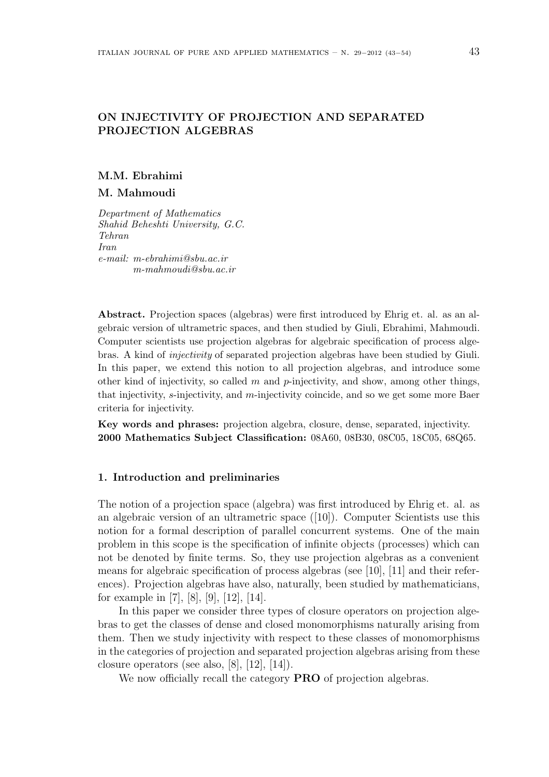# ON INJECTIVITY OF PROJECTION AND SEPARATED PROJECTION ALGEBRAS

## M.M. Ebrahimi

## M. Mahmoudi

Department of Mathematics Shahid Beheshti University, G.C. Tehran Iran e-mail: m-ebrahimi@sbu.ac.ir m-mahmoudi@sbu.ac.ir

Abstract. Projection spaces (algebras) were first introduced by Ehrig et. al. as an algebraic version of ultrametric spaces, and then studied by Giuli, Ebrahimi, Mahmoudi. Computer scientists use projection algebras for algebraic specification of process algebras. A kind of injectivity of separated projection algebras have been studied by Giuli. In this paper, we extend this notion to all projection algebras, and introduce some other kind of injectivity, so called  $m$  and  $p$ -injectivity, and show, among other things, that injectivity, s-injectivity, and m-injectivity coincide, and so we get some more Baer criteria for injectivity.

Key words and phrases: projection algebra, closure, dense, separated, injectivity. 2000 Mathematics Subject Classification: 08A60, 08B30, 08C05, 18C05, 68Q65.

## 1. Introduction and preliminaries

The notion of a projection space (algebra) was first introduced by Ehrig et. al. as an algebraic version of an ultrametric space  $(|10|)$ . Computer Scientists use this notion for a formal description of parallel concurrent systems. One of the main problem in this scope is the specification of infinite objects (processes) which can not be denoted by finite terms. So, they use projection algebras as a convenient means for algebraic specification of process algebras (see [10], [11] and their references). Projection algebras have also, naturally, been studied by mathematicians, for example in [7], [8], [9], [12], [14].

In this paper we consider three types of closure operators on projection algebras to get the classes of dense and closed monomorphisms naturally arising from them. Then we study injectivity with respect to these classes of monomorphisms in the categories of projection and separated projection algebras arising from these closure operators (see also, [8], [12], [14]).

We now officially recall the category **PRO** of projection algebras.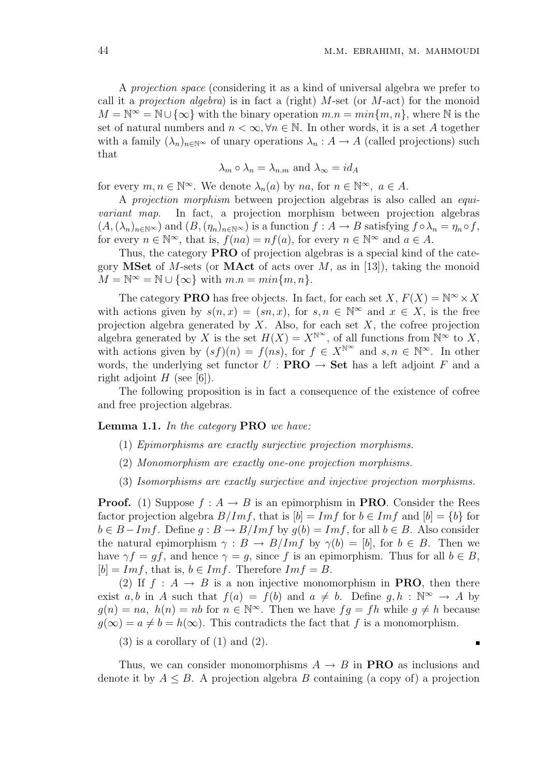$\blacksquare$ 

A projection space (considering it as a kind of universal algebra we prefer to call it a *projection algebra*) is in fact a (right)  $M$ -set (or  $M$ -act) for the monoid  $M = \mathbb{N} \infty = \mathbb{N} \cup \{\infty\}$  with the binary operation  $m.n = min\{m, n\}$ , where  $\mathbb N$  is the set of natural numbers and  $n < \infty, \forall n \in \mathbb{N}$ . In other words, it is a set A together with a family  $(\lambda_n)_{n\in\mathbb{N}}\infty$  of unary operations  $\lambda_n:A\to A$  (called projections) such that

$$
\lambda_m \circ \lambda_n = \lambda_{n,m}
$$
 and  $\lambda_\infty = id_A$ 

for every  $m, n \in \mathbb{N}^{\infty}$ . We denote  $\lambda_n(a)$  by  $na$ , for  $n \in \mathbb{N}^{\infty}$ ,  $a \in A$ .

A projection morphism between projection algebras is also called an equivariant map. In fact, a projection morphism between projection algebras  $(A,(\lambda_n)_{n\in\mathbb{N}^\infty})$  and  $(B,(\eta_n)_{n\in\mathbb{N}^\infty})$  is a function  $f:A\to B$  satisfying  $f\circ\lambda_n=\eta_n\circ f$ , for every  $n \in \mathbb{N}^{\infty}$ , that is,  $f(na) = nf(a)$ , for every  $n \in \mathbb{N}^{\infty}$  and  $a \in A$ .

Thus, the category **PRO** of projection algebras is a special kind of the category **MSet** of M-sets (or **MAct** of acts over M, as in [13]), taking the monoid  $M = \mathbb{N}^{\infty} = \mathbb{N} \cup \{\infty\}$  with  $m.n = min\{m, n\}.$ 

The category **PRO** has free objects. In fact, for each set  $X, F(X) = \mathbb{N}^{\infty} \times X$ with actions given by  $s(n,x) = (sn, x)$ , for  $s, n \in \mathbb{N}^{\infty}$  and  $x \in X$ , is the free projection algebra generated by  $X$ . Also, for each set  $X$ , the cofree projection algebra generated by X is the set  $H(X) = X^{\mathbb{N}^{\infty}}$ , of all functions from  $\mathbb{N}^{\infty}$  to X, with actions given by  $(s f)(n) = f(ns)$ , for  $f \in X^{\mathbb{N}^{\infty}}$  and  $s, n \in \mathbb{N}^{\infty}$ . In other words, the underlying set functor  $U : \textbf{PRO} \rightarrow \textbf{Set}$  has a left adjoint F and a right adjoint  $H$  (see [6]).

The following proposition is in fact a consequence of the existence of cofree and free projection algebras.

Lemma 1.1. In the category PRO we have:

- (1) Epimorphisms are exactly surjective projection morphisms.
- (2) Monomorphism are exactly one-one projection morphisms.
- (3) Isomorphisms are exactly surjective and injective projection morphisms.

**Proof.** (1) Suppose  $f : A \to B$  is an epimorphism in **PRO**. Consider the Rees factor projection algebra  $B/Imf$ , that is  $[b] = Imf$  for  $b \in Imf$  and  $[b] = \{b\}$  for  $b \in B - Im f$ . Define  $q : B \to B/Im f$  by  $q(b) = Im f$ , for all  $b \in B$ . Also consider the natural epimorphism  $\gamma : B \to B/Imf$  by  $\gamma(b) = [b]$ , for  $b \in B$ . Then we have  $\gamma f = gf$ , and hence  $\gamma = g$ , since f is an epimorphism. Thus for all  $b \in B$ ,  $[b] = Im f$ , that is,  $b \in Im f$ . Therefore  $Im f = B$ .

(2) If  $f : A \rightarrow B$  is a non injective monomorphism in **PRO**, then there exist a, b in A such that  $f(a) = f(b)$  and  $a \neq b$ . Define  $g, h : \mathbb{N}^{\infty} \to A$  by  $g(n) = na$ ,  $h(n) = nb$  for  $n \in \mathbb{N}^{\infty}$ . Then we have  $fg = fh$  while  $g \neq h$  because  $q(\infty) = a \neq b = h(\infty)$ . This contradicts the fact that f is a monomorphism.

 $(3)$  is a corollary of  $(1)$  and  $(2)$ .

Thus, we can consider monomorphisms  $A \rightarrow B$  in **PRO** as inclusions and denote it by  $A \leq B$ . A projection algebra B containing (a copy of) a projection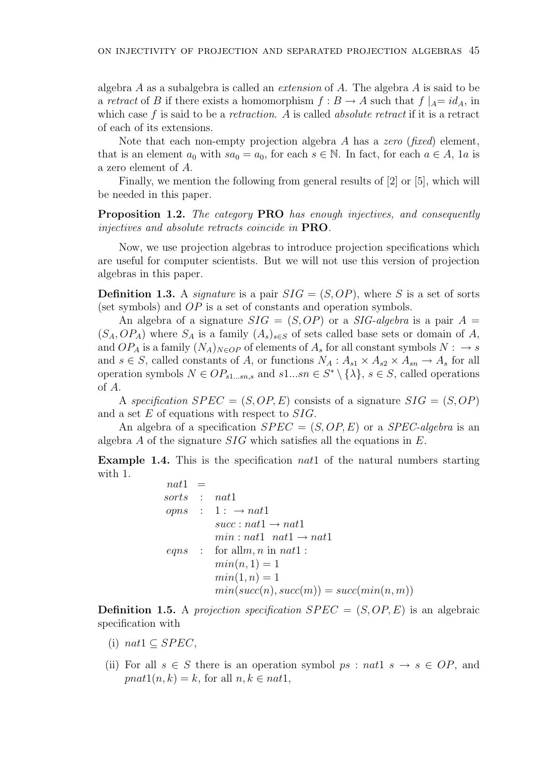algebra  $A$  as a subalgebra is called an *extension* of  $A$ . The algebra  $A$  is said to be a retract of B if there exists a homomorphism  $f : B \to A$  such that  $f \mid_{A} = id_{A}$ , in which case  $f$  is said to be a *retraction*. A is called *absolute retract* if it is a retract of each of its extensions.

Note that each non-empty projection algebra A has a zero (fixed) element, that is an element  $a_0$  with  $sa_0 = a_0$ , for each  $s \in \mathbb{N}$ . In fact, for each  $a \in A$ , 1a is a zero element of A.

Finally, we mention the following from general results of [2] or [5], which will be needed in this paper.

Proposition 1.2. The category PRO has enough injectives, and consequently injectives and absolute retracts coincide in PRO.

Now, we use projection algebras to introduce projection specifications which are useful for computer scientists. But we will not use this version of projection algebras in this paper.

**Definition 1.3.** A *signature* is a pair  $SIG = (S, OP)$ , where S is a set of sorts (set symbols) and OP is a set of constants and operation symbols.

An algebra of a signature  $SIG = (S, OP)$  or a  $SIG\text{-}algebra$  is a pair  $A =$  $(S_A, OP_A)$  where  $S_A$  is a family  $(A_s)_{s \in S}$  of sets called base sets or domain of A, and  $OP_A$  is a family  $(N_A)_{N \in OP}$  of elements of  $A_s$  for all constant symbols  $N : \rightarrow s$ and  $s \in S$ , called constants of A, or functions  $N_A: A_{s1} \times A_{s2} \times A_{sn} \rightarrow A_s$  for all operation symbols  $N \in OP_{s1...sn,s}$  and  $s1...sn \in S^* \setminus {\{\lambda\}}, s \in S$ , called operations of A.

A specification  $SPEC = (S, OP, E)$  consists of a signature  $SIG = (S, OP)$ and a set E of equations with respect to SIG.

An algebra of a specification  $SPEC = (S, OP, E)$  or a  $SPEC$ -algebra is an algebra A of the signature SIG which satisfies all the equations in E.

**Example 1.4.** This is the specification *nat* 1 of the natural numbers starting with 1.

> $nat1 =$ sorts : nat1  $opns : 1: \rightarrow nat1$  $succ: nat1 \rightarrow nat1$  $min: nat1$  natled  $nat1 \rightarrow nat1$ eqns : for all  $m, n$  in nat1 :  $min(n, 1) = 1$  $min(1, n) = 1$  $min(succ(n), succ(m)) = succ(min(n, m))$

**Definition 1.5.** A projection specification  $SPEC = (S, OP, E)$  is an algebraic specification with

- (i) nat $1 \subseteq SPEC$ ,
- (ii) For all  $s \in S$  there is an operation symbol  $ps : nat1 \ s \rightarrow s \in OP$ , and  $pnat1(n, k) = k$ , for all  $n, k \in nat1$ ,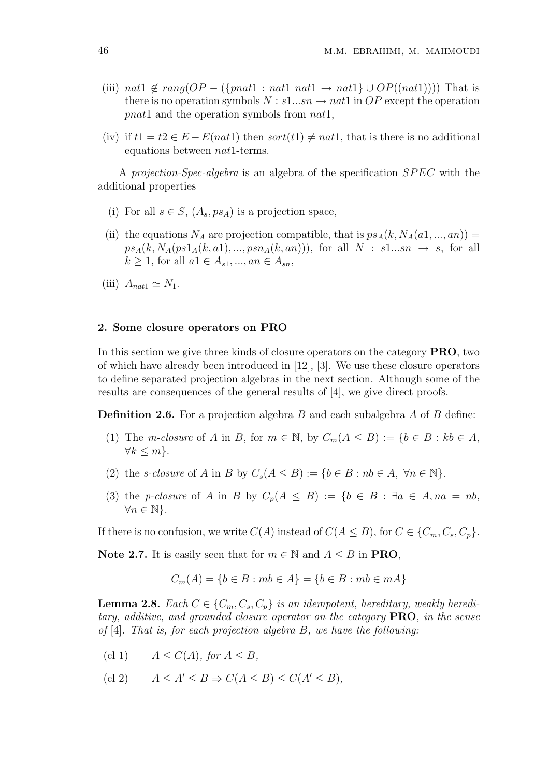- (iii) nat1  $\notin rang(OP (\{pnat1 : nat1 nat1 \rightarrow nat1\} \cup OP((nat1))))$  That is there is no operation symbols  $N : s1...sn \rightarrow nat1$  in OP except the operation pnat1 and the operation symbols from nat1,
- (iv) if  $t1 = t2 \in E E(nat1)$  then sort $(t1) \neq nat1$ , that is there is no additional equations between nat1-terms.

A projection-Spec-algebra is an algebra of the specification SPEC with the additional properties

- (i) For all  $s \in S$ ,  $(A_s, ps_A)$  is a projection space,
- (ii) the equations  $N_A$  are projection compatible, that is  $ps_A(k, N_A(a1, ..., an)) =$  $ps_A(k, N_A(ps1_A(k, a1), ..., psn_A(k, an)))$ , for all  $N : s1...sn \rightarrow s$ , for all  $k \ge 1$ , for all  $a1 \in A_{s1}, ..., an \in A_{sn}$ ,
- (iii)  $A_{nat1} \simeq N_1$ .

## 2. Some closure operators on PRO

In this section we give three kinds of closure operators on the category PRO, two of which have already been introduced in [12], [3]. We use these closure operators to define separated projection algebras in the next section. Although some of the results are consequences of the general results of [4], we give direct proofs.

**Definition 2.6.** For a projection algebra B and each subalgebra A of B define:

- (1) The m-closure of A in B, for  $m \in \mathbb{N}$ , by  $C_m(A \leq B) := \{b \in B : kb \in A$ ,  $\forall k \leq m$ .
- (2) the s-closure of A in B by  $C_s(A \leq B) := \{b \in B : nb \in A, \ \forall n \in \mathbb{N}\}.$
- (3) the p-closure of A in B by  $C_p(A \leq B) := \{b \in B : \exists a \in A, na = nb,$  $\forall n \in \mathbb{N}\}.$

If there is no confusion, we write  $C(A)$  instead of  $C(A \leq B)$ , for  $C \in \{C_m, C_s, C_p\}$ .

Note 2.7. It is easily seen that for  $m \in \mathbb{N}$  and  $A \leq B$  in PRO,

$$
C_m(A) = \{b \in B : mb \in A\} = \{b \in B : mb \in mA\}
$$

**Lemma 2.8.** Each  $C \in \{C_m, C_s, C_p\}$  is an idempotent, hereditary, weakly hereditary, additive, and grounded closure operator on the category PRO, in the sense of  $[4]$ . That is, for each projection algebra B, we have the following:

- (cl 1)  $A \leq C(A)$ , for  $A \leq B$ ,
- (cl 2)  $A \leq A' \leq B \Rightarrow C(A \leq B) \leq C(A' \leq B),$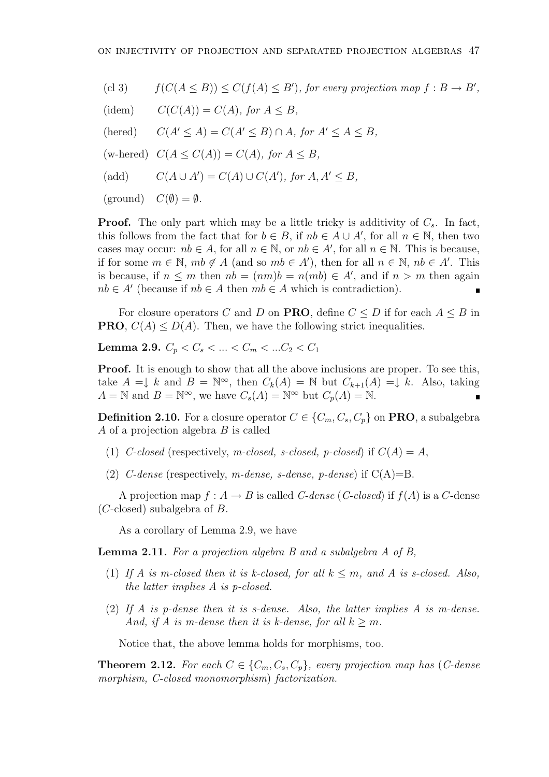- (cl 3)  $f(C(A \leq B)) \leq C(f(A) \leq B')$ , for every projection map  $f : B \to B'$ ,
- (idem)  $C(C(A)) = C(A)$ , for  $A \leq B$ ,
- (hered)  $C(A' \leq A) = C(A' \leq B) \cap A$ , for  $A' \leq A \leq B$ ,
- (w-hered)  $C(A \leq C(A)) = C(A)$ , for  $A \leq B$ ,
- (add)  $C(A \cup A') = C(A) \cup C(A')$ , for  $A, A' \leq B$ ,
- $(\text{ground}) \quad C(\emptyset) = \emptyset.$

**Proof.** The only part which may be a little tricky is additivity of  $C_s$ . In fact, this follows from the fact that for  $b \in B$ , if  $nb \in A \cup A'$ , for all  $n \in \mathbb{N}$ , then two cases may occur:  $nb \in A$ , for all  $n \in \mathbb{N}$ , or  $nb \in A'$ , for all  $n \in \mathbb{N}$ . This is because, if for some  $m \in \mathbb{N}$ ,  $mb \notin A$  (and so  $mb \in A'$ ), then for all  $n \in \mathbb{N}$ ,  $nb \in A'$ . This is because, if  $n \leq m$  then  $nb = (nm)b = n(mb) \in A'$ , and if  $n > m$  then again  $nb \in A'$  (because if  $nb \in A$  then  $mb \in A$  which is contradiction).

For closure operators C and D on **PRO**, define  $C \leq D$  if for each  $A \leq B$  in **PRO**,  $C(A) \leq D(A)$ . Then, we have the following strict inequalities.

Lemma 2.9.  $C_p < C_s < ... < C_m < ... <_2 < C_1$ 

**Proof.** It is enough to show that all the above inclusions are proper. To see this, take  $A = \downarrow k$  and  $B = \mathbb{N}^{\infty}$ , then  $C_k(A) = \mathbb{N}$  but  $C_{k+1}(A) = \downarrow k$ . Also, taking  $A = \mathbb{N}$  and  $B = \mathbb{N}^{\infty}$ , we have  $C_s(A) = \mathbb{N}^{\infty}$  but  $C_p(A) = \mathbb{N}$ .

**Definition 2.10.** For a closure operator  $C \in \{C_m, C_s, C_p\}$  on **PRO**, a subalgebra  $A$  of a projection algebra  $B$  is called

- (1) C-closed (respectively, m-closed, s-closed, p-closed) if  $C(A) = A$ ,
- (2) C-dense (respectively, m-dense, s-dense, p-dense) if  $C(A)=B$ .

A projection map  $f : A \to B$  is called *C*-dense (*C*-closed) if  $f(A)$  is a *C*-dense  $(C$ -closed) subalgebra of  $B$ .

As a corollary of Lemma 2.9, we have

Lemma 2.11. For a projection algebra B and a subalgebra A of B,

- (1) If A is m-closed then it is k-closed, for all  $k \leq m$ , and A is s-closed. Also, the latter implies A is p-closed.
- (2) If A is p-dense then it is s-dense. Also, the latter implies A is m-dense. And, if A is m-dense then it is k-dense, for all  $k > m$ .

Notice that, the above lemma holds for morphisms, too.

**Theorem 2.12.** For each  $C \in \{C_m, C_s, C_p\}$ , every projection map has (C-dense morphism, C-closed monomorphism) factorization.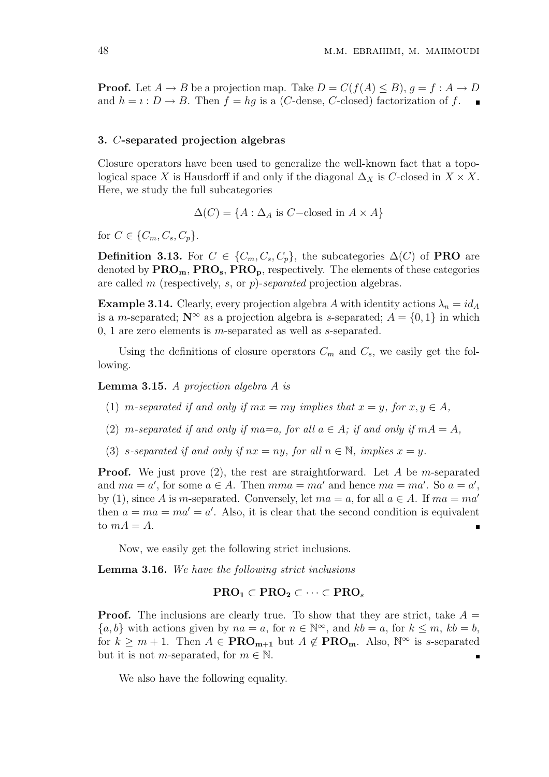**Proof.** Let  $A \to B$  be a projection map. Take  $D = C(f(A) \leq B)$ ,  $q = f : A \to D$ and  $h = i : D \to B$ . Then  $f = hg$  is a (*C*-dense, *C*-closed) factorization of f.

#### 3. C-separated projection algebras

Closure operators have been used to generalize the well-known fact that a topological space X is Hausdorff if and only if the diagonal  $\Delta_X$  is C-closed in  $X \times X$ . Here, we study the full subcategories

 $\Delta(C) = \{A : \Delta_A \text{ is } C-\text{closed in } A \times A\}$ 

for  $C \in \{C_m, C_s, C_p\}.$ 

Definition 3.13. For  $C \in \{C_m, C_s, C_p\}$ , the subcategories  $\Delta(C)$  of **PRO** are denoted by  $\text{PRO}_{\text{m}}$ ,  $\text{PRO}_{\text{s}}$ ,  $\text{PRO}_{\text{p}}$ , respectively. The elements of these categories are called m (respectively, s, or p)-separated projection algebras.

**Example 3.14.** Clearly, every projection algebra A with identity actions  $\lambda_n = id_A$ is a m-separated;  $\mathbb{N}^{\infty}$  as a projection algebra is s-separated;  $A = \{0, 1\}$  in which 0, 1 are zero elements is m-separated as well as  $s$ -separated.

Using the definitions of closure operators  $C_m$  and  $C_s$ , we easily get the following.

Lemma 3.15. A projection algebra A is

- (1) m-separated if and only if  $mx = my$  implies that  $x = y$ , for  $x, y \in A$ ,
- (2) m-separated if and only if ma=a, for all  $a \in A$ ; if and only if  $mA = A$ ,
- (3) s-separated if and only if  $nx = ny$ , for all  $n \in \mathbb{N}$ , implies  $x = y$ .

**Proof.** We just prove  $(2)$ , the rest are straightforward. Let A be m-separated and  $ma = a'$ , for some  $a \in A$ . Then  $mma = ma'$  and hence  $ma = ma'$ . So  $a = a'$ , by (1), since A is m-separated. Conversely, let  $ma = a$ , for all  $a \in A$ . If  $ma = ma'$ then  $a = ma = ma' = a'$ . Also, it is clear that the second condition is equivalent to  $mA = A$ .

Now, we easily get the following strict inclusions.

Lemma 3.16. We have the following strict inclusions

## $PRO<sub>1</sub> \subset PRO<sub>2</sub> \subset \cdots \subset PRO<sub>s</sub>$

**Proof.** The inclusions are clearly true. To show that they are strict, take  $A =$  ${a, b}$  with actions given by  $na = a$ , for  $n \in \mathbb{N}^{\infty}$ , and  $kb = a$ , for  $k \le m$ ,  $kb = b$ , for  $k \geq m+1$ . Then  $A \in \text{PRO}_{m+1}$  but  $A \notin \text{PRO}_{m}$ . Also,  $\mathbb{N}^{\infty}$  is s-separated but it is not *m*-separated, for  $m \in \mathbb{N}$ .

We also have the following equality.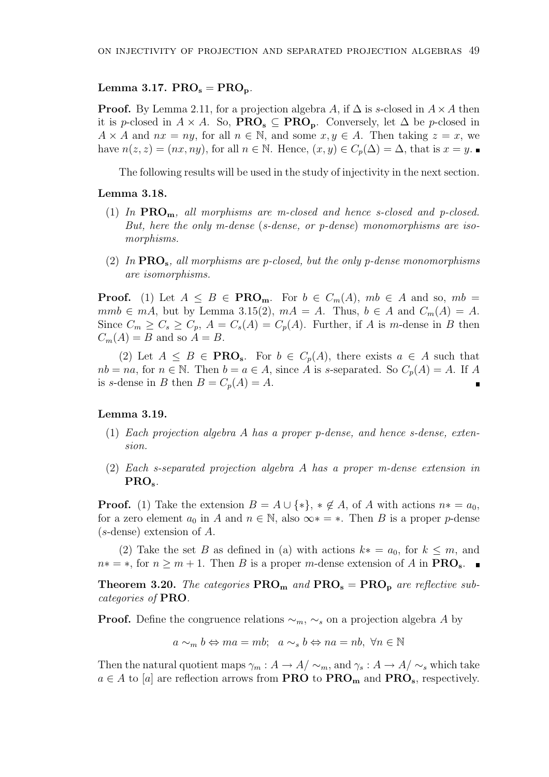## Lemma 3.17.  $PRO<sub>s</sub> = PRO<sub>p</sub>$ .

**Proof.** By Lemma 2.11, for a projection algebra A, if  $\Delta$  is s-closed in  $A \times A$  then it is p-closed in  $A \times A$ . So,  $\text{PRO}_s \subseteq \text{PRO}_p$ . Conversely, let  $\Delta$  be p-closed in  $A \times A$  and  $nx = ny$ , for all  $n \in \mathbb{N}$ , and some  $x, y \in A$ . Then taking  $z = x$ , we have  $n(z, z) = (nx, ny)$ , for all  $n \in \mathbb{N}$ . Hence,  $(x, y) \in C_n(\Delta) = \Delta$ , that is  $x = y$ .

The following results will be used in the study of injectivity in the next section.

## Lemma 3.18.

- (1) In  $\text{PRO}_m$ , all morphisms are m-closed and hence s-closed and p-closed. But, here the only m-dense (s-dense, or p-dense) monomorphisms are isomorphisms.
- (2) In  $PRO_{s}$ , all morphisms are p-closed, but the only p-dense monomorphisms are isomorphisms.

**Proof.** (1) Let  $A \leq B \in \text{PRO}_m$ . For  $b \in C_m(A)$ ,  $mb \in A$  and so,  $mb =$  $mmb \in mA$ , but by Lemma 3.15(2),  $mA = A$ . Thus,  $b \in A$  and  $C_m(A) = A$ . Since  $C_m \geq C_s \geq C_p$ ,  $A = C_s(A) = C_p(A)$ . Further, if A is m-dense in B then  $C_m(A) = B$  and so  $A = B$ .

(2) Let  $A \leq B \in \text{PRO}_s$ . For  $b \in C_p(A)$ , there exists  $a \in A$  such that  $nb = na$ , for  $n \in \mathbb{N}$ . Then  $b = a \in A$ , since A is s-separated. So  $C_p(A) = A$ . If A is s-dense in B then  $B = C_p(A) = A$ .

## Lemma 3.19.

- (1) Each projection algebra A has a proper p-dense, and hence s-dense, extension.
- (2) Each s-separated projection algebra A has a proper m-dense extension in PRO<sub>s</sub>.

**Proof.** (1) Take the extension  $B = A \cup \{*\}, * \notin A$ , of A with actions  $n* = a_0$ , for a zero element  $a_0$  in A and  $n \in \mathbb{N}$ , also  $\infty* = *$ . Then B is a proper p-dense (s-dense) extension of A.

(2) Take the set B as defined in (a) with actions  $k* = a_0$ , for  $k \leq m$ , and  $n* = *$ , for  $n \geq m+1$ . Then B is a proper m-dense extension of A in  $\text{PRO}_{s}$ .

**Theorem 3.20.** The categories  $\text{PRO}_{\text{m}}$  and  $\text{PRO}_{\text{s}} = \text{PRO}_{\text{p}}$  are reflective subcategories of PRO.

**Proof.** Define the congruence relations  $\sim_m$ ,  $\sim_s$  on a projection algebra A by

 $a \sim_m b \Leftrightarrow ma = mb; \ \ a \sim_s b \Leftrightarrow na = nb, \ \forall n \in \mathbb{N}$ 

Then the natural quotient maps  $\gamma_m : A \to A/\sim_m$ , and  $\gamma_s : A \to A/\sim_s$  which take  $a \in A$  to [a] are reflection arrows from **PRO** to **PRO<sub>m</sub>** and **PRO**<sub>s</sub>, respectively.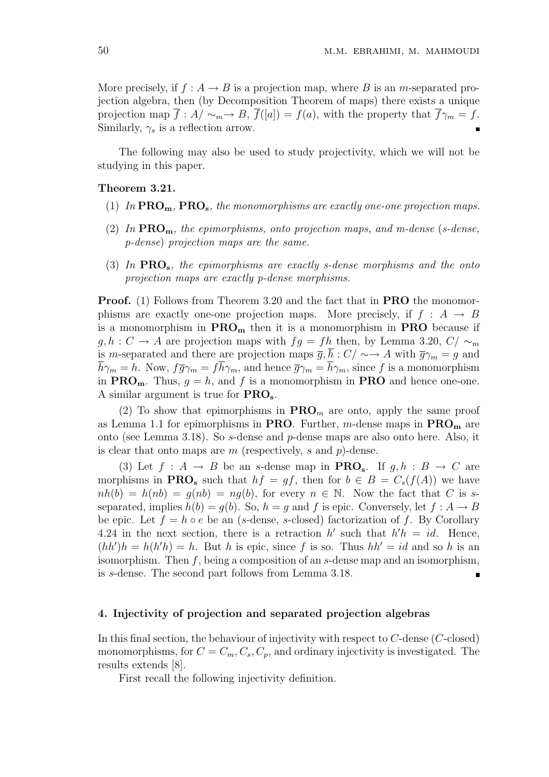More precisely, if  $f : A \to B$  is a projection map, where B is an m-separated projection algebra, then (by Decomposition Theorem of maps) there exists a unique projection map  $\overline{f}: A/\sim_m \to B$ ,  $\overline{f}([a]) = f(a)$ , with the property that  $\overline{f}\gamma_m = f$ . Similarly,  $\gamma_s$  is a reflection arrow.  $\blacksquare$ 

The following may also be used to study projectivity, which we will not be studying in this paper.

### Theorem 3.21.

- (1) In  $\text{PRO}_m$ ,  $\text{PRO}_s$ , the monomorphisms are exactly one-one projection maps.
- (2) In  $\text{PRO}_m$ , the epimorphisms, onto projection maps, and m-dense (s-dense, p-dense) projection maps are the same.
- (3) In  $PRO_{s}$ , the epimorphisms are exactly s-dense morphisms and the onto projection maps are exactly p-dense morphisms.

**Proof.** (1) Follows from Theorem 3.20 and the fact that in **PRO** the monomorphisms are exactly one-one projection maps. More precisely, if  $f : A \rightarrow B$ is a monomorphism in  $\text{PRO}_m$  then it is a monomorphism in **PRO** because if  $g, h : C \to A$  are projection maps with  $fg = fh$  then, by Lemma 3.20,  $C/\sim_m$ is m-separated and there are projection maps  $\overline{g}$ ,  $\overline{h}$  :  $C/\sim \rightarrow A$  with  $\overline{g}\gamma_m = g$  and  $\overline{h}\gamma_m = h$ . Now,  $f\overline{g}\gamma_m = f\overline{h}\gamma_m$ , and hence  $\overline{g}\gamma_m = \overline{h}\gamma_m$ , since f is a monomorphism in  $\text{PRO}_{\text{m}}$ . Thus,  $g = h$ , and f is a monomorphism in **PRO** and hence one-one. A similar argument is true for PROs.

(2) To show that epimorphisms in  $\text{PRO}_m$  are onto, apply the same proof as Lemma 1.1 for epimorphisms in **PRO**. Further, m-dense maps in  $\text{PRO}_m$  are onto (see Lemma 3.18). So s-dense and p-dense maps are also onto here. Also, it is clear that onto maps are  $m$  (respectively, s and  $p$ )-dense.

(3) Let  $f : A \to B$  be an s-dense map in  $\mathbf{PRO}_s$ . If  $g, h : B \to C$  are morphisms in **PRO**<sub>s</sub> such that  $hf = gf$ , then for  $b \in B = C_s(f(A))$  we have  $nh(b) = h(nb) = q(nb) = nq(b)$ , for every  $n \in \mathbb{N}$ . Now the fact that C is sseparated, implies  $h(b) = g(b)$ . So,  $h = g$  and f is epic. Conversely, let  $f : A \rightarrow B$ be epic. Let  $f = h \circ e$  be an (s-dense, s-closed) factorization of f. By Corollary 4.24 in the next section, there is a retraction  $h'$  such that  $h'h = id$ . Hence,  $(hh')h = h(h'h) = h$ . But h is epic, since f is so. Thus  $hh' = id$  and so h is an isomorphism. Then  $f$ , being a composition of an s-dense map and an isomorphism, is s-dense. The second part follows from Lemma 3.18.  $\blacksquare$ 

### 4. Injectivity of projection and separated projection algebras

In this final section, the behaviour of injectivity with respect to  $C$ -dense  $(C$ -closed) monomorphisms, for  $C = C_m, C_s, C_p$ , and ordinary injectivity is investigated. The results extends [8].

First recall the following injectivity definition.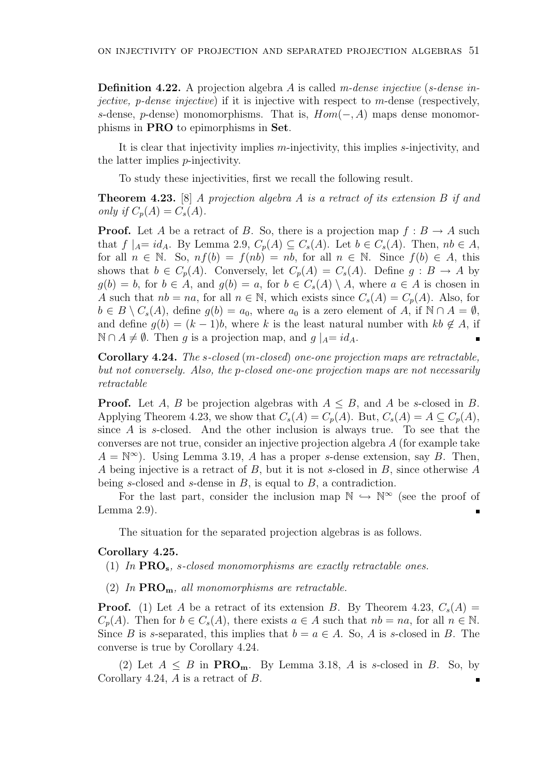**Definition 4.22.** A projection algebra A is called m-dense injective (s-dense in*jective, p-dense injective*) if it is injective with respect to  $m$ -dense (respectively, s-dense, p-dense) monomorphisms. That is,  $Hom(-, A)$  maps dense monomorphisms in PRO to epimorphisms in Set.

It is clear that injectivity implies m-injectivity, this implies s-injectivity, and the latter implies p-injectivity.

To study these injectivities, first we recall the following result.

Theorem 4.23. [8] A projection algebra A is a retract of its extension B if and only if  $C_p(A) = C_s(A)$ .

**Proof.** Let A be a retract of B. So, there is a projection map  $f : B \to A$  such that  $f \mid_{A} = id_A$ . By Lemma 2.9,  $C_p(A) \subseteq C_s(A)$ . Let  $b \in C_s(A)$ . Then,  $nb \in A$ , for all  $n \in \mathbb{N}$ . So,  $nf(b) = f(nb) = nb$ , for all  $n \in \mathbb{N}$ . Since  $f(b) \in A$ , this shows that  $b \in C_p(A)$ . Conversely, let  $C_p(A) = C_s(A)$ . Define  $g : B \to A$  by  $g(b) = b$ , for  $b \in A$ , and  $g(b) = a$ , for  $b \in C_s(A) \setminus A$ , where  $a \in A$  is chosen in A such that  $nb = na$ , for all  $n \in \mathbb{N}$ , which exists since  $C_s(A) = C_p(A)$ . Also, for  $b \in B \setminus C_s(A)$ , define  $g(b) = a_0$ , where  $a_0$  is a zero element of A, if  $\mathbb{N} \cap A = \emptyset$ , and define  $g(b) = (k-1)b$ , where k is the least natural number with  $kb \notin A$ , if  $\mathbb{N} \cap A \neq \emptyset$ . Then q is a projection map, and  $q \mid_{A} = id_{A}$ .  $\blacksquare$ 

Corollary 4.24. The s-closed (m-closed) one-one projection maps are retractable, but not conversely. Also, the p-closed one-one projection maps are not necessarily retractable

**Proof.** Let A, B be projection algebras with  $A \leq B$ , and A be s-closed in B. Applying Theorem 4.23, we show that  $C_s(A) = C_p(A)$ . But,  $C_s(A) = A \subseteq C_p(A)$ , since A is s-closed. And the other inclusion is always true. To see that the converses are not true, consider an injective projection algebra A (for example take  $A = \mathbb{N}^{\infty}$ . Using Lemma 3.19, A has a proper s-dense extension, say B. Then, A being injective is a retract of B, but it is not s-closed in B, since otherwise A being s-closed and s-dense in  $B$ , is equal to  $B$ , a contradiction.

For the last part, consider the inclusion map  $\mathbb{N} \hookrightarrow \mathbb{N}^{\infty}$  (see the proof of Lemma 2.9).

The situation for the separated projection algebras is as follows.

#### Corollary 4.25.

(1) In  $PRO_{s}$ , s-closed monomorphisms are exactly retractable ones.

(2) In  $\text{PRO}_{m}$ , all monomorphisms are retractable.

**Proof.** (1) Let A be a retract of its extension B. By Theorem 4.23,  $C_s(A)$  =  $C_n(A)$ . Then for  $b \in C_s(A)$ , there exists  $a \in A$  such that  $nb = na$ , for all  $n \in \mathbb{N}$ . Since B is s-separated, this implies that  $b = a \in A$ . So, A is s-closed in B. The converse is true by Corollary 4.24.

(2) Let  $A \leq B$  in **PRO<sub>m</sub>**. By Lemma 3.18, A is s-closed in B. So, by Corollary 4.24, A is a retract of B. $\blacksquare$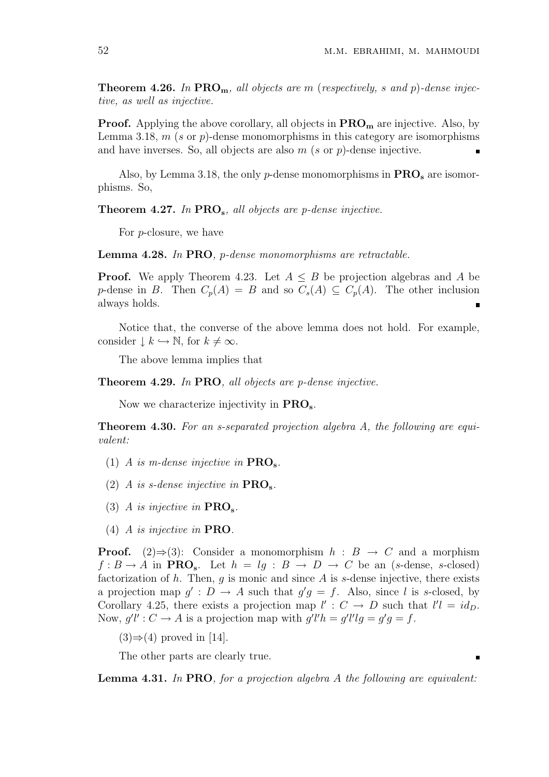**Theorem 4.26.** In  $PRO_m$ , all objects are m (respectively, s and p)-dense injective, as well as injective.

**Proof.** Applying the above corollary, all objects in  $\text{PRO}_m$  are injective. Also, by Lemma 3.18,  $m$  (s or  $p$ )-dense monomorphisms in this category are isomorphisms and have inverses. So, all objects are also  $m$  (s or  $p$ )-dense injective.

Also, by Lemma 3.18, the only  $p$ -dense monomorphisms in  $\text{PRO}_s$  are isomorphisms. So,

**Theorem 4.27.** In  $PRO_{s}$ , all objects are p-dense injective.

For p-closure, we have

Lemma 4.28. In PRO, p-dense monomorphisms are retractable.

**Proof.** We apply Theorem 4.23. Let  $A \leq B$  be projection algebras and A be p-dense in B. Then  $C_p(A) = B$  and so  $C_s(A) \subseteq C_p(A)$ . The other inclusion always holds.

Notice that, the converse of the above lemma does not hold. For example, consider  $\downarrow k \hookrightarrow \mathbb{N}$ , for  $k \neq \infty$ .

The above lemma implies that

Theorem 4.29. In PRO, all objects are *p*-dense injective.

Now we characterize injectivity in PROs.

**Theorem 4.30.** For an s-separated projection algebra A, the following are equivalent:

- (1) A is m-dense injective in  $\text{PRO}_s$ .
- (2) A is s-dense injective in  $\text{PRO}_s$ .
- (3) A is injective in  $\text{PRO}_s$ .
- (4) A is injective in PRO.

**Proof.** (2)⇒(3): Consider a monomorphism  $h : B \to C$  and a morphism  $f : B \to A$  in **PRO**<sub>s</sub>. Let  $h = lg : B \to D \to C$  be an (s-dense, s-closed) factorization of  $h$ . Then,  $g$  is monic and since  $A$  is  $s$ -dense injective, there exists a projection map  $g' : D \to A$  such that  $g'g = f$ . Also, since l is s-closed, by Corollary 4.25, there exists a projection map  $l' : C \to D$  such that  $l'l = id_D$ . Now,  $g'l': C \to A$  is a projection map with  $g'l'h = g'l'lg = g'g = f$ .

 $(3) \Rightarrow (4)$  proved in [14].

The other parts are clearly true.

Lemma 4.31. In PRO, for a projection algebra A the following are equivalent: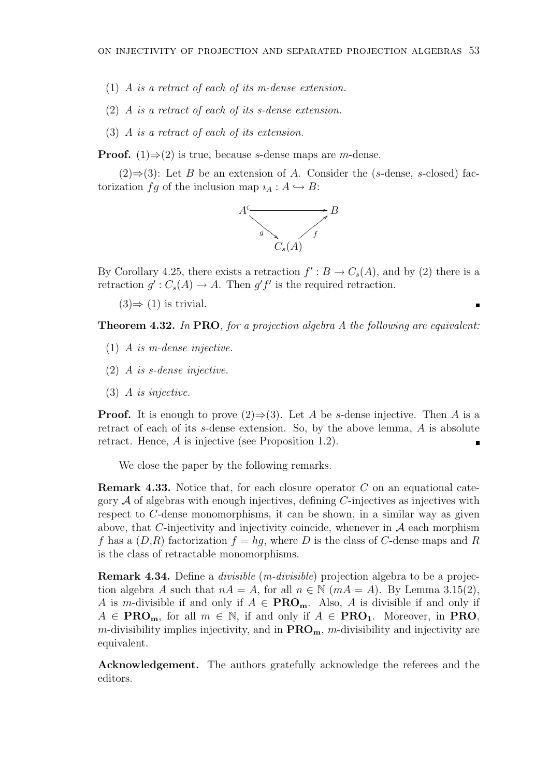- (1) A is a retract of each of its m-dense extension.
- (2) A is a retract of each of its s-dense extension.
- (3) A is a retract of each of its extension.

**Proof.** (1) $\Rightarrow$ (2) is true, because *s*-dense maps are *m*-dense.

 $(2) \Rightarrow (3)$ : Let B be an extension of A. Consider the (s-dense, s-closed) factorization fg of the inclusion map  $i_A : A \hookrightarrow B$ :



By Corollary 4.25, there exists a retraction  $f': B \to C_s(A)$ , and by (2) there is a retraction  $g': C_s(A) \to A$ . Then  $g'f'$  is the required retraction.

 $(3) \Rightarrow (1)$  is trivial.

**Theorem 4.32.** In PRO, for a projection algebra A the following are equivalent:

п

- (1) A is m-dense injective.
- (2) A is s-dense injective.
- (3) A is injective.

**Proof.** It is enough to prove  $(2) \Rightarrow (3)$ . Let A be s-dense injective. Then A is a retract of each of its s-dense extension. So, by the above lemma, A is absolute retract. Hence, A is injective (see Proposition 1.2).

We close the paper by the following remarks.

**Remark 4.33.** Notice that, for each closure operator  $C$  on an equational category  $A$  of algebras with enough injectives, defining C-injectives as injectives with respect to C-dense monomorphisms, it can be shown, in a similar way as given above, that C-injectivity and injectivity coincide, whenever in  $A$  each morphism f has a  $(D,R)$  factorization  $f = hq$ , where D is the class of C-dense maps and R is the class of retractable monomorphisms.

Remark 4.34. Define a divisible (m-divisible) projection algebra to be a projection algebra A such that  $nA = A$ , for all  $n \in \mathbb{N}$   $(mA = A)$ . By Lemma 3.15(2), A is m-divisible if and only if  $A \in \text{PRO}_m$ . Also, A is divisible if and only if  $A \in \text{PRO}_m$ , for all  $m \in \mathbb{N}$ , if and only if  $A \in \text{PRO}_1$ . Moreover, in PRO,  $m$ -divisibility implies injectivity, and in  $\text{PRO}_m$ ,  $m$ -divisibility and injectivity are equivalent.

Acknowledgement. The authors gratefully acknowledge the referees and the editors.